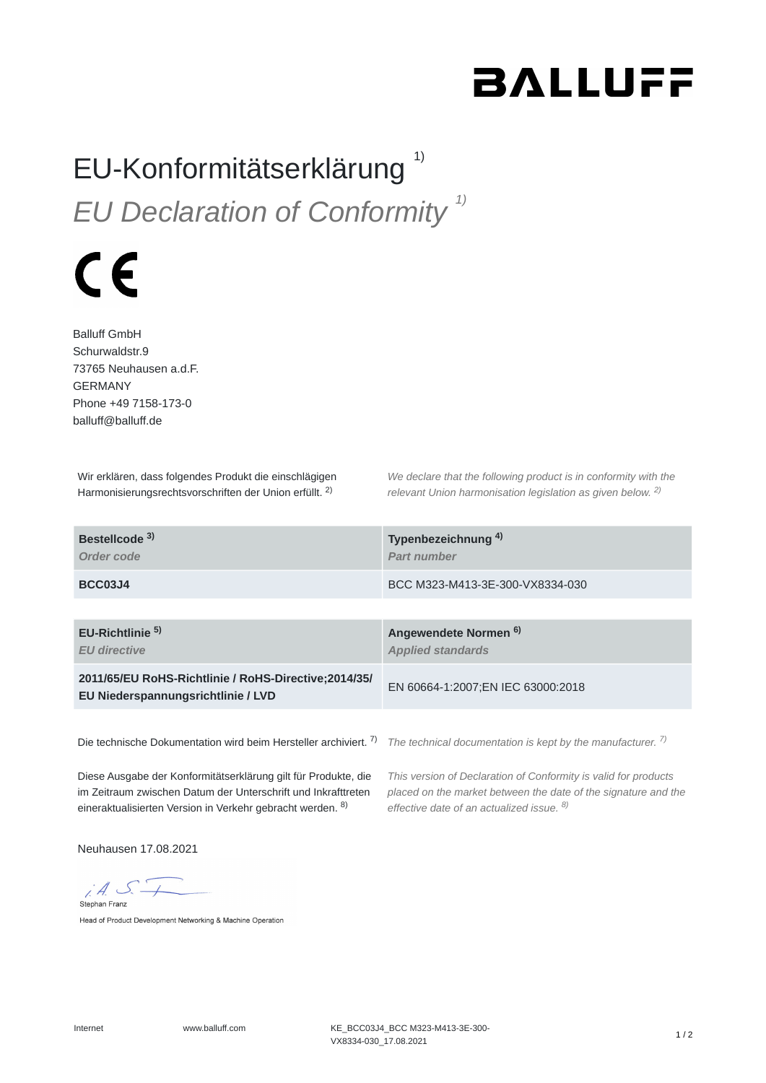## **BALLUFF**

## EU-Konformitätserklärung<sup>1)</sup> *EU Declaration of Conformity 1)*

## $\epsilon$

Balluff GmbH Schurwaldstr.9 73765 Neuhausen a.d.F. GERMANY Phone +49 7158-173-0 balluff@balluff.de

Wir erklären, dass folgendes Produkt die einschlägigen Harmonisierungsrechtsvorschriften der Union erfüllt. <sup>2)</sup>

*We declare that the following product is in conformity with the relevant Union harmonisation legislation as given below.* 2) *2)*

| Bestellcode <sup>3)</sup><br>Order code                                                     | Typenbezeichnung <sup>4)</sup><br>Part number                |
|---------------------------------------------------------------------------------------------|--------------------------------------------------------------|
| <b>BCC03J4</b>                                                                              | BCC M323-M413-3E-300-VX8334-030                              |
| EU-Richtlinie $5$<br><b>EU</b> directive                                                    | Angewendete Normen <sup>6)</sup><br><b>Applied standards</b> |
| 2011/65/EU RoHS-Richtlinie / RoHS-Directive; 2014/35/<br>EU Niederspannungsrichtlinie / LVD | EN 60664-1:2007; EN IEC 63000:2018                           |
|                                                                                             |                                                              |

Die technische Dokumentation wird beim Hersteller archiviert. <sup>7)</sup> The technical documentation is kept by the manufacturer. <sup>7)</sup>

Diese Ausgabe der Konformitätserklärung gilt für Produkte, die im Zeitraum zwischen Datum der Unterschrift und Inkrafttreten eineraktualisierten Version in Verkehr gebracht werden. <sup>8)</sup>

*This version of Declaration of Conformity is valid for products placed on the market between the date of the signature and the effective date of an actualized issue. 8)*

Neuhausen 17.08.2021

 $iA S$ Stephan Franz

Head of Product Development Networking & Machine Operation